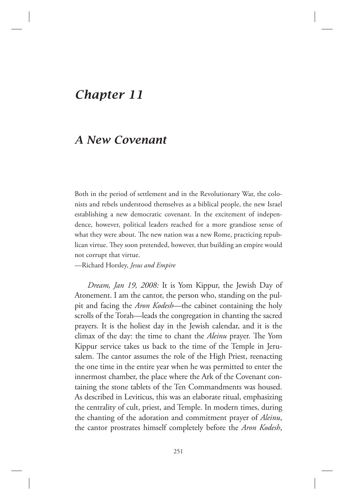## *Chapter 11*

### *A New Covenant*

Both in the period of settlement and in the Revolutionary War, the colonists and rebels understood themselves as a biblical people, the new Israel establishing a new democratic covenant. In the excitement of independence, however, political leaders reached for a more grandiose sense of what they were about. The new nation was a new Rome, practicing republican virtue. They soon pretended, however, that building an empire would not corrupt that virtue.

—Richard Horsley, *Jesus and Empire*

*Dream, Jan 19, 2008:* It is Yom Kippur, the Jewish Day of Atonement. I am the cantor, the person who, standing on the pulpit and facing the *Aron Kodesh—*the cabinet containing the holy scrolls of the Torah—leads the congregation in chanting the sacred prayers. It is the holiest day in the Jewish calendar, and it is the climax of the day: the time to chant the *Aleinu* prayer. The Yom Kippur service takes us back to the time of the Temple in Jerusalem. The cantor assumes the role of the High Priest, reenacting the one time in the entire year when he was permitted to enter the innermost chamber, the place where the Ark of the Covenant containing the stone tablets of the Ten Commandments was housed. As described in Leviticus, this was an elaborate ritual, emphasizing the centrality of cult, priest, and Temple. In modern times, during the chanting of the adoration and commitment prayer of *Aleinu*, the cantor prostrates himself completely before the *Aron Kodesh*,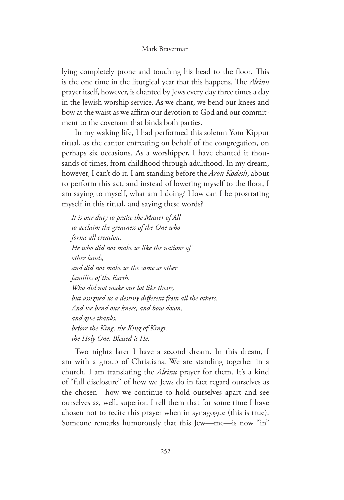lying completely prone and touching his head to the floor. This is the one time in the liturgical year that this happens. The *Aleinu* prayer itself, however, is chanted by Jews every day three times a day in the Jewish worship service. As we chant, we bend our knees and bow at the waist as we affirm our devotion to God and our commitment to the covenant that binds both parties.

In my waking life, I had performed this solemn Yom Kippur ritual, as the cantor entreating on behalf of the congregation, on perhaps six occasions. As a worshipper, I have chanted it thousands of times, from childhood through adulthood. In my dream, however, I can't do it. I am standing before the *Aron Kodesh*, about to perform this act, and instead of lowering myself to the floor, I am saying to myself, what am I doing? How can I be prostrating myself in this ritual, and saying these words?

*It is our duty to praise the Master of All to acclaim the greatness of the One who forms all creation: He who did not make us like the nations of other lands, and did not make us the same as other families of the Earth. Who did not make our lot like theirs, but assigned us a destiny different from all the others. And we bend our knees, and bow down, and give thanks, before the King, the King of Kings, the Holy One, Blessed is He.*

Two nights later I have a second dream. In this dream, I am with a group of Christians. We are standing together in a church. I am translating the *Aleinu* prayer for them. It's a kind of "full disclosure" of how we Jews do in fact regard ourselves as the chosen—how we continue to hold ourselves apart and see ourselves as, well, superior. I tell them that for some time I have chosen not to recite this prayer when in synagogue (this is true). Someone remarks humorously that this Jew—me—is now "in"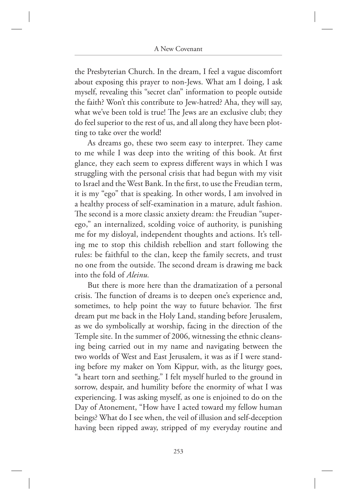the Presbyterian Church. In the dream, I feel a vague discomfort about exposing this prayer to non-Jews. What am I doing, I ask myself, revealing this "secret clan" information to people outside the faith? Won't this contribute to Jew-hatred? Aha, they will say, what we've been told is true! The Jews are an exclusive club; they do feel superior to the rest of us, and all along they have been plotting to take over the world!

As dreams go, these two seem easy to interpret. They came to me while I was deep into the writing of this book. At first glance, they each seem to express different ways in which I was struggling with the personal crisis that had begun with my visit to Israel and the West Bank. In the first, to use the Freudian term, it is my "ego" that is speaking. In other words, I am involved in a healthy process of self-examination in a mature, adult fashion. The second is a more classic anxiety dream: the Freudian "superego," an internalized, scolding voice of authority, is punishing me for my disloyal, independent thoughts and actions. It's telling me to stop this childish rebellion and start following the rules: be faithful to the clan, keep the family secrets, and trust no one from the outside. The second dream is drawing me back into the fold of *Aleinu.*

But there is more here than the dramatization of a personal crisis. The function of dreams is to deepen one's experience and, sometimes, to help point the way to future behavior. The first dream put me back in the Holy Land, standing before Jerusalem, as we do symbolically at worship, facing in the direction of the Temple site. In the summer of 2006, witnessing the ethnic cleansing being carried out in my name and navigating between the two worlds of West and East Jerusalem, it was as if I were standing before my maker on Yom Kippur, with, as the liturgy goes, "a heart torn and seething." I felt myself hurled to the ground in sorrow, despair, and humility before the enormity of what I was experiencing. I was asking myself, as one is enjoined to do on the Day of Atonement, "How have I acted toward my fellow human beings? What do I see when, the veil of illusion and self-deception having been ripped away, stripped of my everyday routine and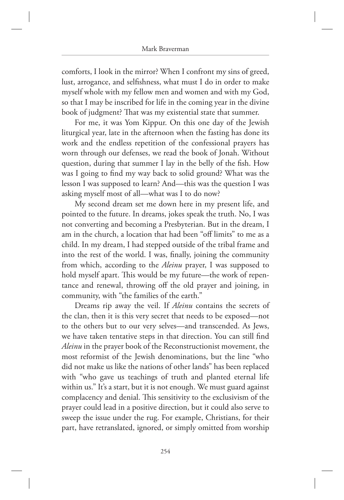comforts, I look in the mirror? When I confront my sins of greed, lust, arrogance, and selfishness, what must I do in order to make myself whole with my fellow men and women and with my God, so that I may be inscribed for life in the coming year in the divine book of judgment? That was my existential state that summer.

For me, it was Yom Kippur. On this one day of the Jewish liturgical year, late in the afternoon when the fasting has done its work and the endless repetition of the confessional prayers has worn through our defenses, we read the book of Jonah. Without question, during that summer I lay in the belly of the fish. How was I going to find my way back to solid ground? What was the lesson I was supposed to learn? And—this was the question I was asking myself most of all—what was I to do now?

My second dream set me down here in my present life, and pointed to the future. In dreams, jokes speak the truth. No, I was not converting and becoming a Presbyterian. But in the dream, I am in the church, a location that had been "off limits" to me as a child. In my dream, I had stepped outside of the tribal frame and into the rest of the world. I was, finally, joining the community from which, according to the *Aleinu* prayer, I was supposed to hold myself apart. This would be my future—the work of repentance and renewal, throwing off the old prayer and joining, in community, with "the families of the earth."

Dreams rip away the veil. If *Aleinu* contains the secrets of the clan, then it is this very secret that needs to be exposed—not to the others but to our very selves—and transcended. As Jews, we have taken tentative steps in that direction. You can still find *Aleinu* in the prayer book of the Reconstructionist movement, the most reformist of the Jewish denominations, but the line "who did not make us like the nations of other lands" has been replaced with "who gave us teachings of truth and planted eternal life within us." It's a start, but it is not enough. We must guard against complacency and denial. This sensitivity to the exclusivism of the prayer could lead in a positive direction, but it could also serve to sweep the issue under the rug. For example, Christians, for their part, have retranslated, ignored, or simply omitted from worship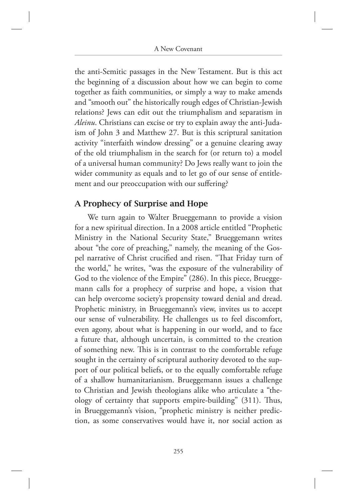the anti-Semitic passages in the New Testament. But is this act the beginning of a discussion about how we can begin to come together as faith communities, or simply a way to make amends and "smooth out" the historically rough edges of Christian-Jewish relations? Jews can edit out the triumphalism and separatism in *Aleinu*. Christians can excise or try to explain away the anti-Judaism of John 3 and Matthew 27. But is this scriptural sanitation activity "interfaith window dressing" or a genuine clearing away of the old triumphalism in the search for (or return to) a model of a universal human community? Do Jews really want to join the wider community as equals and to let go of our sense of entitlement and our preoccupation with our suffering?

### A Prophecy of Surprise and Hope

We turn again to Walter Brueggemann to provide a vision for a new spiritual direction. In a 2008 article entitled "Prophetic Ministry in the National Security State," Brueggemann writes about "the core of preaching," namely, the meaning of the Gospel narrative of Christ crucified and risen. "That Friday turn of the world," he writes, "was the exposure of the vulnerability of God to the violence of the Empire" (286). In this piece, Brueggemann calls for a prophecy of surprise and hope, a vision that can help overcome society's propensity toward denial and dread. Prophetic ministry, in Brueggemann's view, invites us to accept our sense of vulnerability. He challenges us to feel discomfort, even agony, about what is happening in our world, and to face a future that, although uncertain, is committed to the creation of something new. This is in contrast to the comfortable refuge sought in the certainty of scriptural authority devoted to the support of our political beliefs, or to the equally comfortable refuge of a shallow humanitarianism. Brueggemann issues a challenge to Christian and Jewish theologians alike who articulate a "theology of certainty that supports empire-building"  $(311)$ . Thus, in Brueggemann's vision, "prophetic ministry is neither prediction, as some conservatives would have it, nor social action as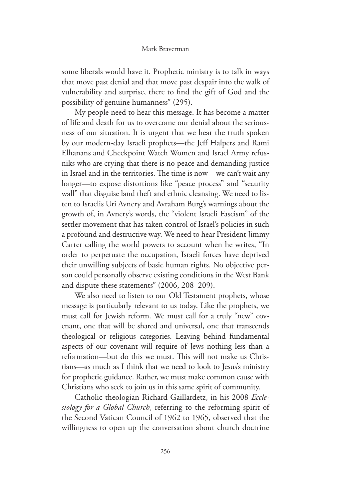some liberals would have it. Prophetic ministry is to talk in ways that move past denial and that move past despair into the walk of vulnerability and surprise, there to find the gift of God and the possibility of genuine humanness" (295).

My people need to hear this message. It has become a matter of life and death for us to overcome our denial about the seriousness of our situation. It is urgent that we hear the truth spoken by our modern-day Israeli prophets—the Jeff Halpers and Rami Elhanans and Checkpoint Watch Women and Israel Army refusniks who are crying that there is no peace and demanding justice in Israel and in the territories. The time is now—we can't wait any longer—to expose distortions like "peace process" and "security wall" that disguise land theft and ethnic cleansing. We need to listen to Israelis Uri Avnery and Avraham Burg's warnings about the growth of, in Avnery's words, the "violent Israeli Fascism" of the settler movement that has taken control of Israel's policies in such a profound and destructive way. We need to hear President Jimmy Carter calling the world powers to account when he writes, "In order to perpetuate the occupation, Israeli forces have deprived their unwilling subjects of basic human rights. No objective person could personally observe existing conditions in the West Bank and dispute these statements" (2006, 208–209).

We also need to listen to our Old Testament prophets, whose message is particularly relevant to us today. Like the prophets, we must call for Jewish reform. We must call for a truly "new" covenant, one that will be shared and universal, one that transcends theological or religious categories. Leaving behind fundamental aspects of our covenant will require of Jews nothing less than a reformation—but do this we must. This will not make us Christians—as much as I think that we need to look to Jesus's ministry for prophetic guidance. Rather, we must make common cause with Christians who seek to join us in this same spirit of community.

Catholic theologian Richard Gaillardetz, in his 2008 *Ecclesiology for a Global Church*, referring to the reforming spirit of the Second Vatican Council of 1962 to 1965, observed that the willingness to open up the conversation about church doctrine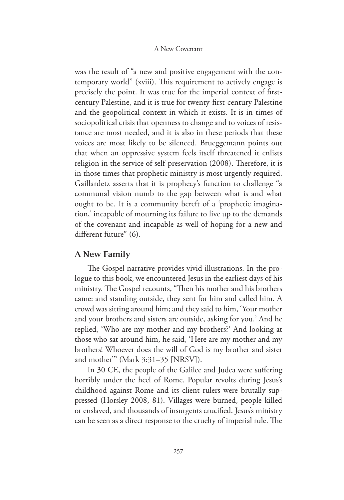was the result of "a new and positive engagement with the contemporary world" (xviii). This requirement to actively engage is precisely the point. It was true for the imperial context of firstcentury Palestine, and it is true for twenty-first-century Palestine and the geopolitical context in which it exists. It is in times of sociopolitical crisis that openness to change and to voices of resistance are most needed, and it is also in these periods that these voices are most likely to be silenced. Brueggemann points out that when an oppressive system feels itself threatened it enlists religion in the service of self-preservation (2008). Therefore, it is in those times that prophetic ministry is most urgently required. Gaillardetz asserts that it is prophecy's function to challenge "a communal vision numb to the gap between what is and what ought to be. It is a community bereft of a 'prophetic imagination,' incapable of mourning its failure to live up to the demands of the covenant and incapable as well of hoping for a new and different future" (6).

# A New Family

The Gospel narrative provides vivid illustrations. In the prologue to this book, we encountered Jesus in the earliest days of his ministry. The Gospel recounts, "Then his mother and his brothers came: and standing outside, they sent for him and called him. A crowd was sitting around him; and they said to him, 'Your mother and your brothers and sisters are outside, asking for you.' And he replied, 'Who are my mother and my brothers?' And looking at those who sat around him, he said, 'Here are my mother and my brothers! Whoever does the will of God is my brother and sister and mother'" (Mark 3:31–35 [NRSV]).

In 30 CE, the people of the Galilee and Judea were suffering horribly under the heel of Rome. Popular revolts during Jesus's childhood against Rome and its client rulers were brutally suppressed (Horsley 2008, 81). Villages were burned, people killed or enslaved, and thousands of insurgents crucified. Jesus's ministry can be seen as a direct response to the cruelty of imperial rule. The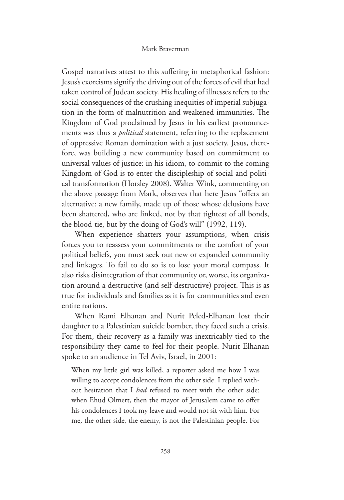Gospel narratives attest to this suffering in metaphorical fashion: Jesus's exorcisms signify the driving out of the forces of evil that had taken control of Judean society. His healing of illnesses refers to the social consequences of the crushing inequities of imperial subjugation in the form of malnutrition and weakened immunities. The Kingdom of God proclaimed by Jesus in his earliest pronouncements was thus a *political* statement, referring to the replacement of oppressive Roman domination with a just society. Jesus, therefore, was building a new community based on commitment to universal values of justice: in his idiom, to commit to the coming Kingdom of God is to enter the discipleship of social and political transformation (Horsley 2008). Walter Wink, commenting on the above passage from Mark, observes that here Jesus "offers an alternative: a new family, made up of those whose delusions have been shattered, who are linked, not by that tightest of all bonds, the blood-tie, but by the doing of God's will" (1992, 119).

When experience shatters your assumptions, when crisis forces you to reassess your commitments or the comfort of your political beliefs, you must seek out new or expanded community and linkages. To fail to do so is to lose your moral compass. It also risks disintegration of that community or, worse, its organization around a destructive (and self-destructive) project. This is as true for individuals and families as it is for communities and even entire nations.

When Rami Elhanan and Nurit Peled-Elhanan lost their daughter to a Palestinian suicide bomber, they faced such a crisis. For them, their recovery as a family was inextricably tied to the responsibility they came to feel for their people. Nurit Elhanan spoke to an audience in Tel Aviv, Israel, in 2001:

When my little girl was killed, a reporter asked me how I was willing to accept condolences from the other side. I replied without hesitation that I *had* refused to meet with the other side: when Ehud Olmert, then the mayor of Jerusalem came to offer his condolences I took my leave and would not sit with him. For me, the other side, the enemy, is not the Palestinian people. For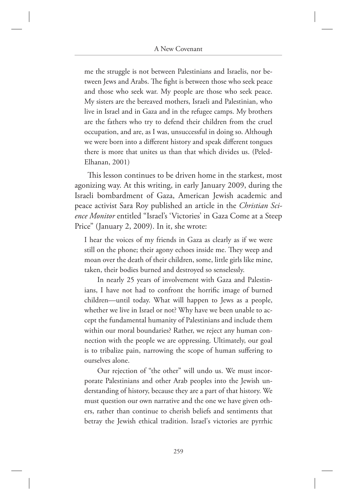me the struggle is not between Palestinians and Israelis, nor between Jews and Arabs. The fight is between those who seek peace and those who seek war. My people are those who seek peace. My sisters are the bereaved mothers, Israeli and Palestinian, who live in Israel and in Gaza and in the refugee camps. My brothers are the fathers who try to defend their children from the cruel occupation, and are, as I was, unsuccessful in doing so. Although we were born into a different history and speak different tongues there is more that unites us than that which divides us. (Peled-Elhanan, 2001)

This lesson continues to be driven home in the starkest, most agonizing way. At this writing, in early January 2009, during the Israeli bombardment of Gaza, American Jewish academic and peace activist Sara Roy published an article in the *Christian Science Monitor* entitled "Israel's 'Victories' in Gaza Come at a Steep Price" (January 2, 2009). In it, she wrote:

I hear the voices of my friends in Gaza as clearly as if we were still on the phone; their agony echoes inside me. They weep and moan over the death of their children, some, little girls like mine, taken, their bodies burned and destroyed so senselessly.

In nearly 25 years of involvement with Gaza and Palestinians, I have not had to confront the horrific image of burned children—until today. What will happen to Jews as a people, whether we live in Israel or not? Why have we been unable to accept the fundamental humanity of Palestinians and include them within our moral boundaries? Rather, we reject any human connection with the people we are oppressing. Ultimately, our goal is to tribalize pain, narrowing the scope of human suffering to ourselves alone.

Our rejection of "the other" will undo us. We must incorporate Palestinians and other Arab peoples into the Jewish understanding of history, because they are a part of that history. We must question our own narrative and the one we have given others, rather than continue to cherish beliefs and sentiments that betray the Jewish ethical tradition. Israel's victories are pyrrhic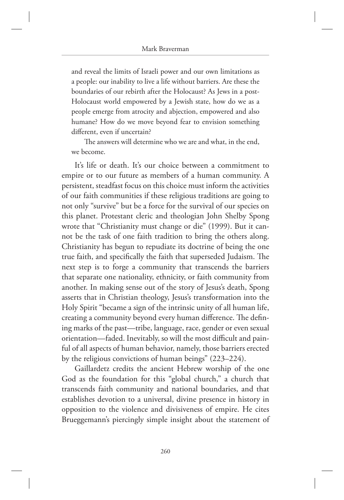and reveal the limits of Israeli power and our own limitations as a people: our inability to live a life without barriers. Are these the boundaries of our rebirth after the Holocaust? As Jews in a post-Holocaust world empowered by a Jewish state, how do we as a people emerge from atrocity and abjection, empowered and also humane? How do we move beyond fear to envision something different, even if uncertain?

The answers will determine who we are and what, in the end, we become.

It's life or death. It's our choice between a commitment to empire or to our future as members of a human community. A persistent, steadfast focus on this choice must inform the activities of our faith communities if these religious traditions are going to not only "survive" but be a force for the survival of our species on this planet. Protestant cleric and theologian John Shelby Spong wrote that "Christianity must change or die" (1999). But it cannot be the task of one faith tradition to bring the others along. Christianity has begun to repudiate its doctrine of being the one true faith, and specifically the faith that superseded Judaism. The next step is to forge a community that transcends the barriers that separate one nationality, ethnicity, or faith community from another. In making sense out of the story of Jesus's death, Spong asserts that in Christian theology, Jesus's transformation into the Holy Spirit "became a sign of the intrinsic unity of all human life, creating a community beyond every human difference. The defining marks of the past—tribe, language, race, gender or even sexual orientation—faded. Inevitably, so will the most difficult and painful of all aspects of human behavior, namely, those barriers erected by the religious convictions of human beings" (223–224).

Gaillardetz credits the ancient Hebrew worship of the one God as the foundation for this "global church," a church that transcends faith community and national boundaries, and that establishes devotion to a universal, divine presence in history in opposition to the violence and divisiveness of empire. He cites Brueggemann's piercingly simple insight about the statement of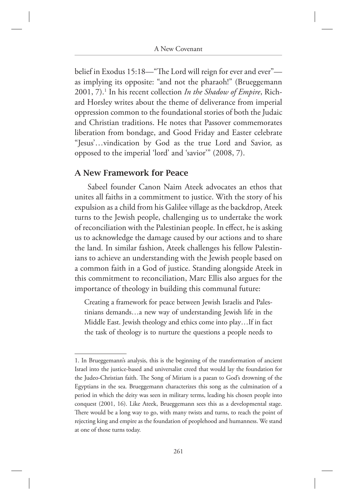belief in Exodus 15:18—"The Lord will reign for ever and ever"as implying its opposite: "and not the pharaoh!" (Brueggemann 2001, 7).<sup>1</sup> In his recent collection *In the Shadow of Empire*, Richard Horsley writes about the theme of deliverance from imperial oppression common to the foundational stories of both the Judaic and Christian traditions. He notes that Passover commemorates liberation from bondage, and Good Friday and Easter celebrate "Jesus'…vindication by God as the true Lord and Savior, as opposed to the imperial 'lord' and 'savior'" (2008, 7).

### A New Framework for Peace

Sabeel founder Canon Naim Ateek advocates an ethos that unites all faiths in a commitment to justice. With the story of his expulsion as a child from his Galilee village as the backdrop, Ateek turns to the Jewish people, challenging us to undertake the work of reconciliation with the Palestinian people. In effect, he is asking us to acknowledge the damage caused by our actions and to share the land. In similar fashion, Ateek challenges his fellow Palestinians to achieve an understanding with the Jewish people based on a common faith in a God of justice. Standing alongside Ateek in this commitment to reconciliation, Marc Ellis also argues for the importance of theology in building this communal future:

Creating a framework for peace between Jewish Israelis and Palestinians demands…a new way of understanding Jewish life in the Middle East. Jewish theology and ethics come into play…If in fact the task of theology is to nurture the questions a people needs to

<sup>1.</sup> In Brueggemann's analysis, this is the beginning of the transformation of ancient Israel into the justice-based and universalist creed that would lay the foundation for the Judeo-Christian faith. The Song of Miriam is a paean to God's drowning of the Egyptians in the sea. Brueggemann characterizes this song as the culmination of a period in which the deity was seen in military terms, leading his chosen people into conquest (2001, 16). Like Ateek, Brueggemann sees this as a developmental stage. There would be a long way to go, with many twists and turns, to reach the point of rejecting king and empire as the foundation of peoplehood and humanness. We stand at one of those turns today.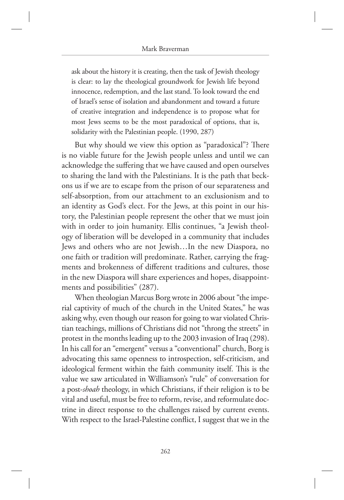ask about the history it is creating, then the task of Jewish theology is clear: to lay the theological groundwork for Jewish life beyond innocence, redemption, and the last stand. To look toward the end of Israel's sense of isolation and abandonment and toward a future of creative integration and independence is to propose what for most Jews seems to be the most paradoxical of options, that is, solidarity with the Palestinian people. (1990, 287)

But why should we view this option as "paradoxical"? There is no viable future for the Jewish people unless and until we can acknowledge the suffering that we have caused and open ourselves to sharing the land with the Palestinians. It is the path that beckons us if we are to escape from the prison of our separateness and self-absorption, from our attachment to an exclusionism and to an identity as God's elect. For the Jews, at this point in our history, the Palestinian people represent the other that we must join with in order to join humanity. Ellis continues, "a Jewish theology of liberation will be developed in a community that includes Jews and others who are not Jewish…In the new Diaspora, no one faith or tradition will predominate. Rather, carrying the fragments and brokenness of different traditions and cultures, those in the new Diaspora will share experiences and hopes, disappointments and possibilities" (287).

When theologian Marcus Borg wrote in 2006 about "the imperial captivity of much of the church in the United States," he was asking why, even though our reason for going to war violated Christian teachings, millions of Christians did not "throng the streets" in protest in the months leading up to the 2003 invasion of Iraq (298). In his call for an "emergent" versus a "conventional" church, Borg is advocating this same openness to introspection, self-criticism, and ideological ferment within the faith community itself. This is the value we saw articulated in Williamson's "rule" of conversation for a post-*shoah* theology, in which Christians, if their religion is to be vital and useful, must be free to reform, revise, and reformulate doctrine in direct response to the challenges raised by current events. With respect to the Israel-Palestine conflict, I suggest that we in the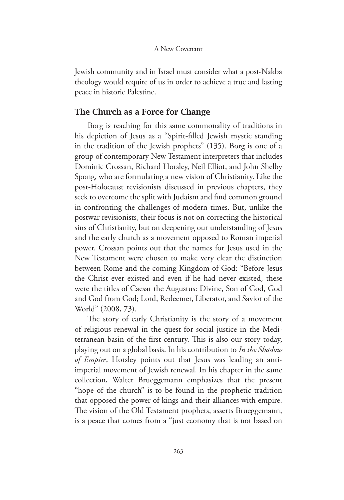Jewish community and in Israel must consider what a post-Nakba theology would require of us in order to achieve a true and lasting peace in historic Palestine.

### The Church as a Force for Change

Borg is reaching for this same commonality of traditions in his depiction of Jesus as a "Spirit-filled Jewish mystic standing in the tradition of the Jewish prophets" (135). Borg is one of a group of contemporary New Testament interpreters that includes Dominic Crossan, Richard Horsley, Neil Elliot, and John Shelby Spong, who are formulating a new vision of Christianity. Like the post-Holocaust revisionists discussed in previous chapters, they seek to overcome the split with Judaism and find common ground in confronting the challenges of modern times. But, unlike the postwar revisionists, their focus is not on correcting the historical sins of Christianity, but on deepening our understanding of Jesus and the early church as a movement opposed to Roman imperial power. Crossan points out that the names for Jesus used in the New Testament were chosen to make very clear the distinction between Rome and the coming Kingdom of God: "Before Jesus the Christ ever existed and even if he had never existed, these were the titles of Caesar the Augustus: Divine, Son of God, God and God from God; Lord, Redeemer, Liberator, and Savior of the World" (2008, 73).

The story of early Christianity is the story of a movement of religious renewal in the quest for social justice in the Mediterranean basin of the first century. This is also our story today, playing out on a global basis. In his contribution to *In the Shadow of Empire*, Horsley points out that Jesus was leading an antiimperial movement of Jewish renewal. In his chapter in the same collection, Walter Brueggemann emphasizes that the present "hope of the church" is to be found in the prophetic tradition that opposed the power of kings and their alliances with empire. The vision of the Old Testament prophets, asserts Brueggemann, is a peace that comes from a "just economy that is not based on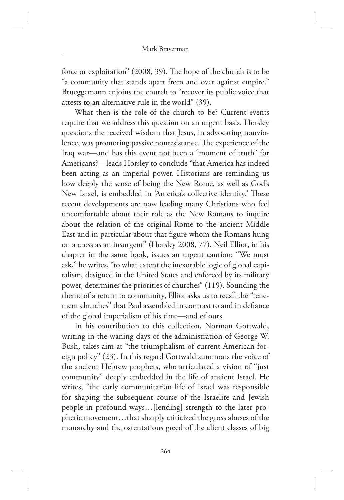force or exploitation"  $(2008, 39)$ . The hope of the church is to be "a community that stands apart from and over against empire." Brueggemann enjoins the church to "recover its public voice that attests to an alternative rule in the world" (39).

What then is the role of the church to be? Current events require that we address this question on an urgent basis. Horsley questions the received wisdom that Jesus, in advocating nonviolence, was promoting passive nonresistance. The experience of the Iraq war—and has this event not been a "moment of truth" for Americans?—leads Horsley to conclude "that America has indeed been acting as an imperial power. Historians are reminding us how deeply the sense of being the New Rome, as well as God's New Israel, is embedded in 'America's collective identity.' These recent developments are now leading many Christians who feel uncomfortable about their role as the New Romans to inquire about the relation of the original Rome to the ancient Middle East and in particular about that figure whom the Romans hung on a cross as an insurgent" (Horsley 2008, 77). Neil Elliot, in his chapter in the same book, issues an urgent caution: "We must ask," he writes, "to what extent the inexorable logic of global capitalism, designed in the United States and enforced by its military power, determines the priorities of churches" (119). Sounding the theme of a return to community, Elliot asks us to recall the "tenement churches" that Paul assembled in contrast to and in defiance of the global imperialism of his time—and of ours.

In his contribution to this collection, Norman Gottwald, writing in the waning days of the administration of George W. Bush, takes aim at "the triumphalism of current American foreign policy" (23). In this regard Gottwald summons the voice of the ancient Hebrew prophets, who articulated a vision of "just community" deeply embedded in the life of ancient Israel. He writes, "the early communitarian life of Israel was responsible for shaping the subsequent course of the Israelite and Jewish people in profound ways…[lending] strength to the later prophetic movement…that sharply criticized the gross abuses of the monarchy and the ostentatious greed of the client classes of big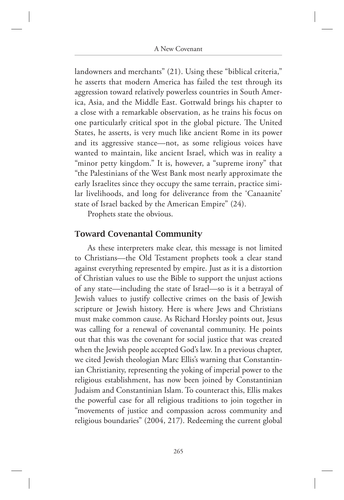landowners and merchants" (21). Using these "biblical criteria," he asserts that modern America has failed the test through its aggression toward relatively powerless countries in South America, Asia, and the Middle East. Gottwald brings his chapter to a close with a remarkable observation, as he trains his focus on one particularly critical spot in the global picture. The United States, he asserts, is very much like ancient Rome in its power and its aggressive stance—not, as some religious voices have wanted to maintain, like ancient Israel, which was in reality a "minor petty kingdom." It is, however, a "supreme irony" that "the Palestinians of the West Bank most nearly approximate the early Israelites since they occupy the same terrain, practice similar livelihoods, and long for deliverance from the 'Canaanite' state of Israel backed by the American Empire" (24).

Prophets state the obvious.

### Toward Covenantal Community

As these interpreters make clear, this message is not limited to Christians—the Old Testament prophets took a clear stand against everything represented by empire. Just as it is a distortion of Christian values to use the Bible to support the unjust actions of any state—including the state of Israel—so is it a betrayal of Jewish values to justify collective crimes on the basis of Jewish scripture or Jewish history. Here is where Jews and Christians must make common cause. As Richard Horsley points out, Jesus was calling for a renewal of covenantal community. He points out that this was the covenant for social justice that was created when the Jewish people accepted God's law. In a previous chapter, we cited Jewish theologian Marc Ellis's warning that Constantinian Christianity, representing the yoking of imperial power to the religious establishment, has now been joined by Constantinian Judaism and Constantinian Islam. To counteract this, Ellis makes the powerful case for all religious traditions to join together in "movements of justice and compassion across community and religious boundaries" (2004, 217). Redeeming the current global